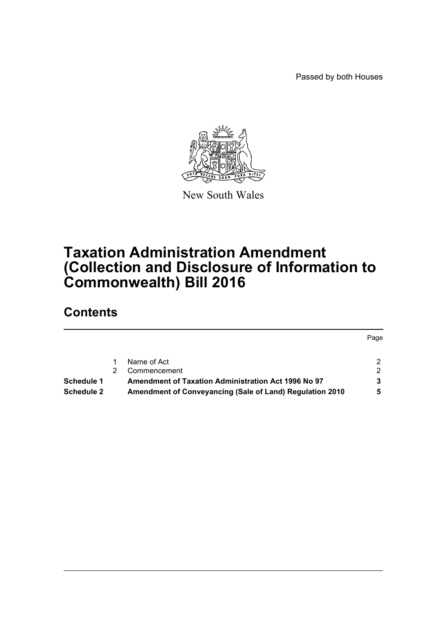Passed by both Houses



New South Wales

# **Taxation Administration Amendment (Collection and Disclosure of Information to Commonwealth) Bill 2016**

# **Contents**

|                   |                                                            | Page |
|-------------------|------------------------------------------------------------|------|
|                   | Name of Act                                                |      |
|                   | Commencement                                               | ົ    |
| Schedule 1        | <b>Amendment of Taxation Administration Act 1996 No 97</b> |      |
| <b>Schedule 2</b> | Amendment of Conveyancing (Sale of Land) Regulation 2010   |      |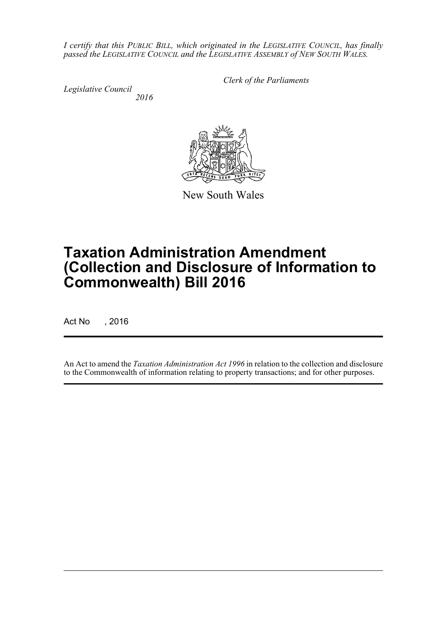*I certify that this PUBLIC BILL, which originated in the LEGISLATIVE COUNCIL, has finally passed the LEGISLATIVE COUNCIL and the LEGISLATIVE ASSEMBLY of NEW SOUTH WALES.*

*Legislative Council 2016* *Clerk of the Parliaments*

New South Wales

# **Taxation Administration Amendment (Collection and Disclosure of Information to Commonwealth) Bill 2016**

Act No , 2016

An Act to amend the *Taxation Administration Act 1996* in relation to the collection and disclosure to the Commonwealth of information relating to property transactions; and for other purposes.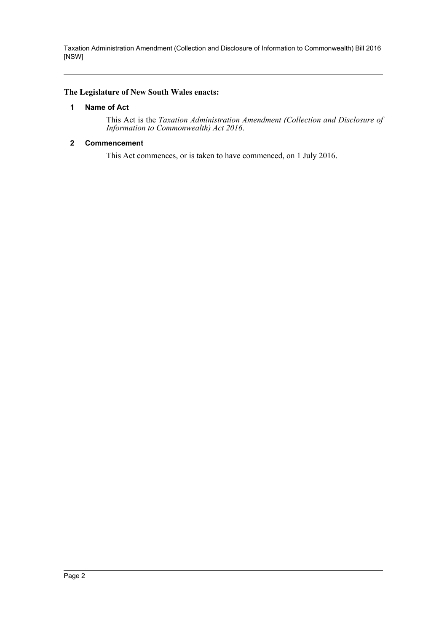#### <span id="page-2-0"></span>**The Legislature of New South Wales enacts:**

#### **1 Name of Act**

This Act is the *Taxation Administration Amendment (Collection and Disclosure of Information to Commonwealth) Act 2016*.

#### <span id="page-2-1"></span>**2 Commencement**

This Act commences, or is taken to have commenced, on 1 July 2016.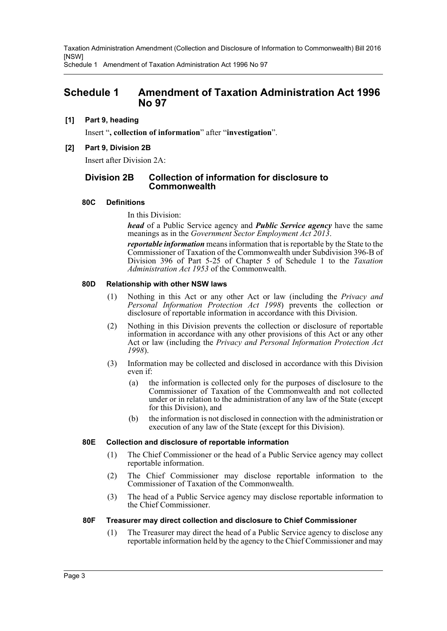Schedule 1 Amendment of Taxation Administration Act 1996 No 97

### <span id="page-3-0"></span>**Schedule 1 Amendment of Taxation Administration Act 1996 No 97**

#### **[1] Part 9, heading**

Insert "**, collection of information**" after "**investigation**".

#### **[2] Part 9, Division 2B**

Insert after Division 2A:

#### **Division 2B Collection of information for disclosure to Commonwealth**

#### **80C Definitions**

In this Division:

*head* of a Public Service agency and *Public Service agency* have the same meanings as in the *Government Sector Employment Act 2013*.

*reportable information* means information that is reportable by the State to the Commissioner of Taxation of the Commonwealth under Subdivision 396-B of Division 396 of Part 5-25 of Chapter 5 of Schedule 1 to the *Taxation Administration Act 1953* of the Commonwealth.

#### **80D Relationship with other NSW laws**

- (1) Nothing in this Act or any other Act or law (including the *Privacy and Personal Information Protection Act 1998*) prevents the collection or disclosure of reportable information in accordance with this Division.
- (2) Nothing in this Division prevents the collection or disclosure of reportable information in accordance with any other provisions of this Act or any other Act or law (including the *Privacy and Personal Information Protection Act 1998*).
- (3) Information may be collected and disclosed in accordance with this Division even if:
	- (a) the information is collected only for the purposes of disclosure to the Commissioner of Taxation of the Commonwealth and not collected under or in relation to the administration of any law of the State (except for this Division), and
	- (b) the information is not disclosed in connection with the administration or execution of any law of the State (except for this Division).

#### **80E Collection and disclosure of reportable information**

- (1) The Chief Commissioner or the head of a Public Service agency may collect reportable information.
- (2) The Chief Commissioner may disclose reportable information to the Commissioner of Taxation of the Commonwealth.
- (3) The head of a Public Service agency may disclose reportable information to the Chief Commissioner.

#### **80F Treasurer may direct collection and disclosure to Chief Commissioner**

(1) The Treasurer may direct the head of a Public Service agency to disclose any reportable information held by the agency to the Chief Commissioner and may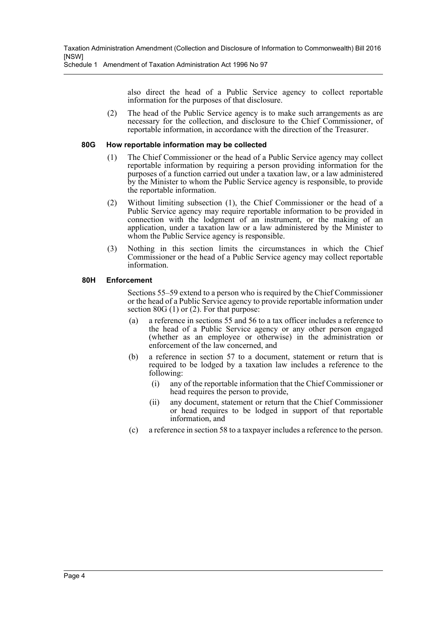Schedule 1 Amendment of Taxation Administration Act 1996 No 97

also direct the head of a Public Service agency to collect reportable information for the purposes of that disclosure.

(2) The head of the Public Service agency is to make such arrangements as are necessary for the collection, and disclosure to the Chief Commissioner, of reportable information, in accordance with the direction of the Treasurer.

#### **80G How reportable information may be collected**

- (1) The Chief Commissioner or the head of a Public Service agency may collect reportable information by requiring a person providing information for the purposes of a function carried out under a taxation law, or a law administered by the Minister to whom the Public Service agency is responsible, to provide the reportable information.
- (2) Without limiting subsection (1), the Chief Commissioner or the head of a Public Service agency may require reportable information to be provided in connection with the lodgment of an instrument, or the making of an application, under a taxation law or a law administered by the Minister to whom the Public Service agency is responsible.
- (3) Nothing in this section limits the circumstances in which the Chief Commissioner or the head of a Public Service agency may collect reportable information.

#### **80H Enforcement**

Sections 55–59 extend to a person who is required by the Chief Commissioner or the head of a Public Service agency to provide reportable information under section 80G (1) or (2). For that purpose:

- (a) a reference in sections 55 and 56 to a tax officer includes a reference to the head of a Public Service agency or any other person engaged (whether as an employee or otherwise) in the administration or enforcement of the law concerned, and
- (b) a reference in section 57 to a document, statement or return that is required to be lodged by a taxation law includes a reference to the following:
	- (i) any of the reportable information that the Chief Commissioner or head requires the person to provide,
	- (ii) any document, statement or return that the Chief Commissioner or head requires to be lodged in support of that reportable information, and
- (c) a reference in section 58 to a taxpayer includes a reference to the person.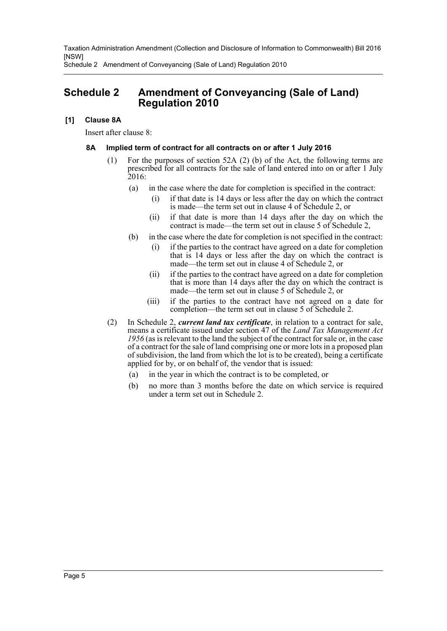Schedule 2 Amendment of Conveyancing (Sale of Land) Regulation 2010

## <span id="page-5-0"></span>**Schedule 2 Amendment of Conveyancing (Sale of Land) Regulation 2010**

### **[1] Clause 8A**

Insert after clause 8:

### **8A Implied term of contract for all contracts on or after 1 July 2016**

- (1) For the purposes of section 52A (2) (b) of the Act, the following terms are prescribed for all contracts for the sale of land entered into on or after 1 July 2016:
	- (a) in the case where the date for completion is specified in the contract:
		- (i) if that date is 14 days or less after the day on which the contract is made—the term set out in clause 4 of Schedule 2, or
		- (ii) if that date is more than 14 days after the day on which the contract is made—the term set out in clause 5 of Schedule 2,
	- (b) in the case where the date for completion is not specified in the contract:
		- (i) if the parties to the contract have agreed on a date for completion that is 14 days or less after the day on which the contract is made—the term set out in clause 4 of Schedule 2, or
		- (ii) if the parties to the contract have agreed on a date for completion that is more than 14 days after the day on which the contract is made—the term set out in clause 5 of Schedule 2, or
		- (iii) if the parties to the contract have not agreed on a date for completion—the term set out in clause 5 of Schedule 2.
- (2) In Schedule 2, *current land tax certificate*, in relation to a contract for sale, means a certificate issued under section 47 of the *Land Tax Management Act 1956* (as is relevant to the land the subject of the contract for sale or, in the case of a contract for the sale of land comprising one or more lots in a proposed plan of subdivision, the land from which the lot is to be created), being a certificate applied for by, or on behalf of, the vendor that is issued:
	- (a) in the year in which the contract is to be completed, or
	- (b) no more than 3 months before the date on which service is required under a term set out in Schedule 2.